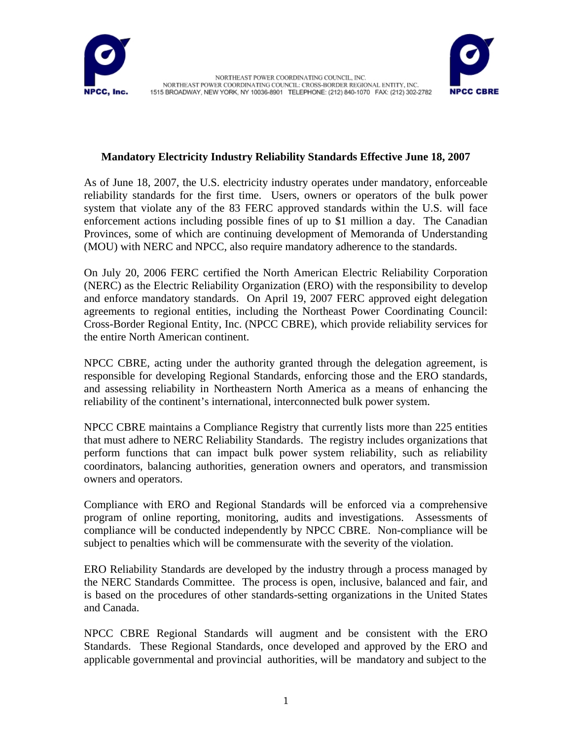



## **Mandatory Electricity Industry Reliability Standards Effective June 18, 2007**

As of June 18, 2007, the U.S. electricity industry operates under mandatory, enforceable reliability standards for the first time. Users, owners or operators of the bulk power system that violate any of the 83 FERC approved standards within the U.S. will face enforcement actions including possible fines of up to \$1 million a day. The Canadian Provinces, some of which are continuing development of Memoranda of Understanding (MOU) with NERC and NPCC, also require mandatory adherence to the standards.

On July 20, 2006 FERC certified the North American Electric Reliability Corporation (NERC) as the Electric Reliability Organization (ERO) with the responsibility to develop and enforce mandatory standards. On April 19, 2007 FERC approved eight delegation agreements to regional entities, including the Northeast Power Coordinating Council: Cross-Border Regional Entity, Inc. (NPCC CBRE), which provide reliability services for the entire North American continent.

NPCC CBRE, acting under the authority granted through the delegation agreement, is responsible for developing Regional Standards, enforcing those and the ERO standards, and assessing reliability in Northeastern North America as a means of enhancing the reliability of the continent's international, interconnected bulk power system.

NPCC CBRE maintains a Compliance Registry that currently lists more than 225 entities that must adhere to NERC Reliability Standards. The registry includes organizations that perform functions that can impact bulk power system reliability, such as reliability coordinators, balancing authorities, generation owners and operators, and transmission owners and operators.

Compliance with ERO and Regional Standards will be enforced via a comprehensive program of online reporting, monitoring, audits and investigations. Assessments of compliance will be conducted independently by NPCC CBRE. Non-compliance will be subject to penalties which will be commensurate with the severity of the violation.

ERO Reliability Standards are developed by the industry through a process managed by the NERC Standards Committee. The process is open, inclusive, balanced and fair, and is based on the procedures of other standards-setting organizations in the United States and Canada.

NPCC CBRE Regional Standards will augment and be consistent with the ERO Standards. These Regional Standards, once developed and approved by the ERO and applicable governmental and provincial authorities, will be mandatory and subject to the